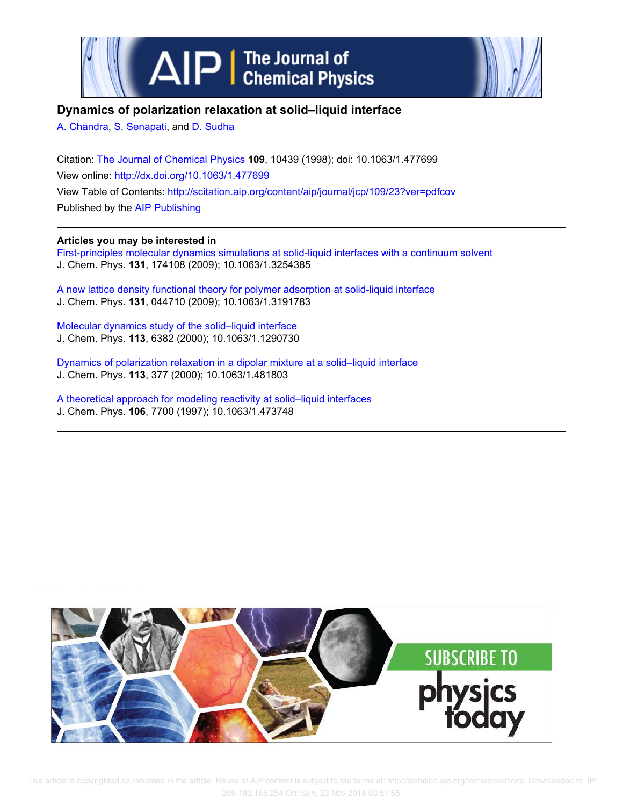



## **Dynamics of polarization relaxation at solid–liquid interface**

A. Chandra, S. Senapati, and D. Sudha

Citation: The Journal of Chemical Physics **109**, 10439 (1998); doi: 10.1063/1.477699 View online: http://dx.doi.org/10.1063/1.477699 View Table of Contents: http://scitation.aip.org/content/aip/journal/jcp/109/23?ver=pdfcov Published by the AIP Publishing

### **Articles you may be interested in**

First-principles molecular dynamics simulations at solid-liquid interfaces with a continuum solvent J. Chem. Phys. **131**, 174108 (2009); 10.1063/1.3254385

A new lattice density functional theory for polymer adsorption at solid-liquid interface J. Chem. Phys. **131**, 044710 (2009); 10.1063/1.3191783

Molecular dynamics study of the solid–liquid interface J. Chem. Phys. **113**, 6382 (2000); 10.1063/1.1290730

Dynamics of polarization relaxation in a dipolar mixture at a solid–liquid interface J. Chem. Phys. **113**, 377 (2000); 10.1063/1.481803

A theoretical approach for modeling reactivity at solid–liquid interfaces J. Chem. Phys. **106**, 7700 (1997); 10.1063/1.473748



 This article is copyrighted as indicated in the article. Reuse of AIP content is subject to the terms at: http://scitation.aip.org/termsconditions. Downloaded to IP: 209.183.185.254 On: Sun, 23 Nov 2014 03:51:55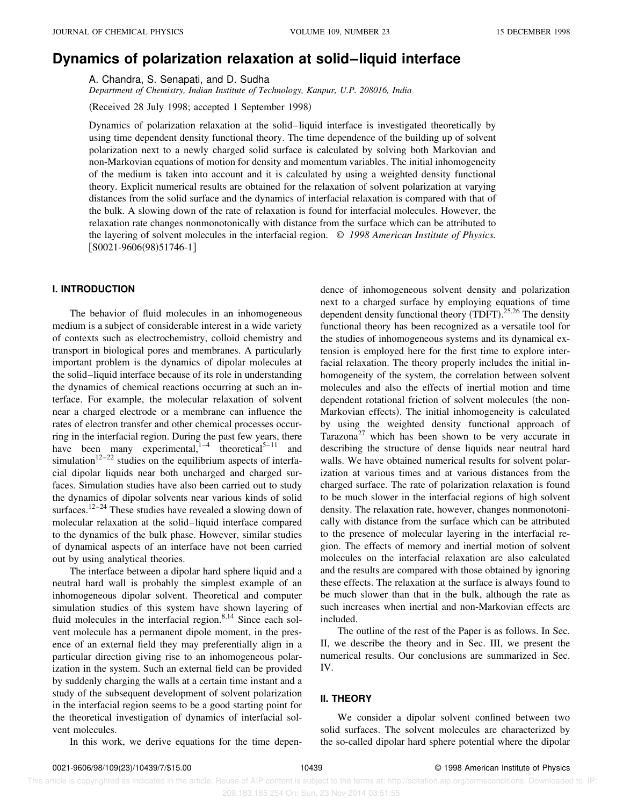# **Dynamics of polarization relaxation at solid–liquid interface**

A. Chandra, S. Senapati, and D. Sudha

*Department of Chemistry, Indian Institute of Technology, Kanpur, U.P. 208016, India*

(Received 28 July 1998; accepted 1 September 1998)

Dynamics of polarization relaxation at the solid–liquid interface is investigated theoretically by using time dependent density functional theory. The time dependence of the building up of solvent polarization next to a newly charged solid surface is calculated by solving both Markovian and non-Markovian equations of motion for density and momentum variables. The initial inhomogeneity of the medium is taken into account and it is calculated by using a weighted density functional theory. Explicit numerical results are obtained for the relaxation of solvent polarization at varying distances from the solid surface and the dynamics of interfacial relaxation is compared with that of the bulk. A slowing down of the rate of relaxation is found for interfacial molecules. However, the relaxation rate changes nonmonotonically with distance from the surface which can be attributed to the layering of solvent molecules in the interfacial region. © *1998 American Institute of Physics.*  $[$ S0021-9606(98)51746-1]

#### **I. INTRODUCTION**

The behavior of fluid molecules in an inhomogeneous medium is a subject of considerable interest in a wide variety of contexts such as electrochemistry, colloid chemistry and transport in biological pores and membranes. A particularly important problem is the dynamics of dipolar molecules at the solid–liquid interface because of its role in understanding the dynamics of chemical reactions occurring at such an interface. For example, the molecular relaxation of solvent near a charged electrode or a membrane can influence the rates of electron transfer and other chemical processes occurring in the interfacial region. During the past few years, there have been many experimental, $\frac{1}{1-4}$  theoretical<sup>5–11</sup> and simulation<sup>12–22</sup> studies on the equilibrium aspects of interfacial dipolar liquids near both uncharged and charged surfaces. Simulation studies have also been carried out to study the dynamics of dipolar solvents near various kinds of solid surfaces.<sup>12–24</sup> These studies have revealed a slowing down of molecular relaxation at the solid–liquid interface compared to the dynamics of the bulk phase. However, similar studies of dynamical aspects of an interface have not been carried out by using analytical theories.

The interface between a dipolar hard sphere liquid and a neutral hard wall is probably the simplest example of an inhomogeneous dipolar solvent. Theoretical and computer simulation studies of this system have shown layering of fluid molecules in the interfacial region.<sup>8,14</sup> Since each solvent molecule has a permanent dipole moment, in the presence of an external field they may preferentially align in a particular direction giving rise to an inhomogeneous polarization in the system. Such an external field can be provided by suddenly charging the walls at a certain time instant and a study of the subsequent development of solvent polarization in the interfacial region seems to be a good starting point for the theoretical investigation of dynamics of interfacial solvent molecules.

In this work, we derive equations for the time depen-

dence of inhomogeneous solvent density and polarization next to a charged surface by employing equations of time dependent density functional theory  $(TDFT).^{25,26}$  The density functional theory has been recognized as a versatile tool for the studies of inhomogeneous systems and its dynamical extension is employed here for the first time to explore interfacial relaxation. The theory properly includes the initial inhomogeneity of the system, the correlation between solvent molecules and also the effects of inertial motion and time dependent rotational friction of solvent molecules (the non-Markovian effects). The initial inhomogeneity is calculated by using the weighted density functional approach of Tarazona<sup>27</sup> which has been shown to be very accurate in describing the structure of dense liquids near neutral hard walls. We have obtained numerical results for solvent polarization at various times and at various distances from the charged surface. The rate of polarization relaxation is found to be much slower in the interfacial regions of high solvent density. The relaxation rate, however, changes nonmonotonically with distance from the surface which can be attributed to the presence of molecular layering in the interfacial region. The effects of memory and inertial motion of solvent molecules on the interfacial relaxation are also calculated and the results are compared with those obtained by ignoring these effects. The relaxation at the surface is always found to be much slower than that in the bulk, although the rate as such increases when inertial and non-Markovian effects are included.

The outline of the rest of the Paper is as follows. In Sec. II, we describe the theory and in Sec. III, we present the numerical results. Our conclusions are summarized in Sec. IV.

#### **II. THEORY**

We consider a dipolar solvent confined between two solid surfaces. The solvent molecules are characterized by the so-called dipolar hard sphere potential where the dipolar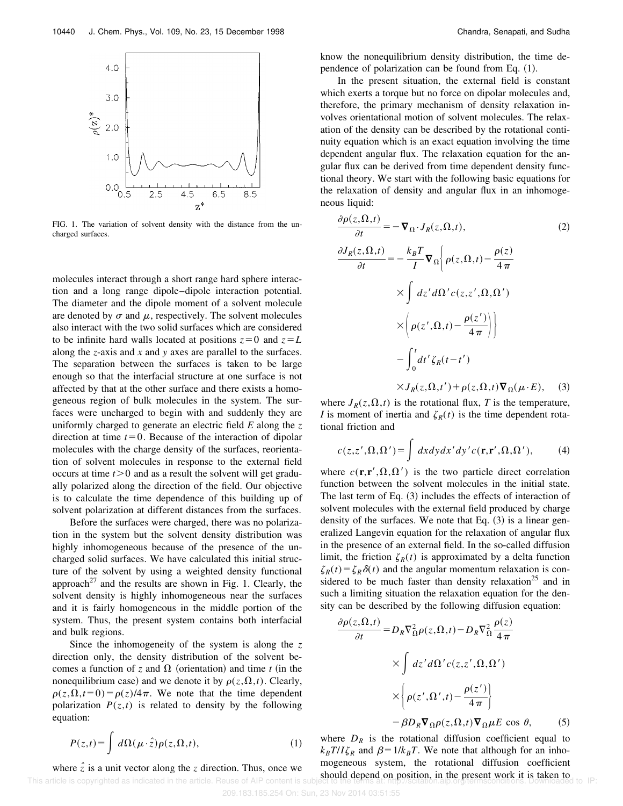

FIG. 1. The variation of solvent density with the distance from the uncharged surfaces.

molecules interact through a short range hard sphere interaction and a long range dipole–dipole interaction potential. The diameter and the dipole moment of a solvent molecule are denoted by  $\sigma$  and  $\mu$ , respectively. The solvent molecules also interact with the two solid surfaces which are considered to be infinite hard walls located at positions  $z=0$  and  $z=L$ along the *z*-axis and *x* and *y* axes are parallel to the surfaces. The separation between the surfaces is taken to be large enough so that the interfacial structure at one surface is not affected by that at the other surface and there exists a homogeneous region of bulk molecules in the system. The surfaces were uncharged to begin with and suddenly they are uniformly charged to generate an electric field *E* along the *z* direction at time  $t=0$ . Because of the interaction of dipolar molecules with the charge density of the surfaces, reorientation of solvent molecules in response to the external field occurs at time  $t > 0$  and as a result the solvent will get gradually polarized along the direction of the field. Our objective is to calculate the time dependence of this building up of solvent polarization at different distances from the surfaces.

Before the surfaces were charged, there was no polarization in the system but the solvent density distribution was highly inhomogeneous because of the presence of the uncharged solid surfaces. We have calculated this initial structure of the solvent by using a weighted density functional approach<sup>27</sup> and the results are shown in Fig. 1. Clearly, the solvent density is highly inhomogeneous near the surfaces and it is fairly homogeneous in the middle portion of the system. Thus, the present system contains both interfacial and bulk regions.

Since the inhomogeneity of the system is along the *z* direction only, the density distribution of the solvent becomes a function of *z* and  $\Omega$  (orientation) and time *t* (in the nonequilibrium case) and we denote it by  $\rho(z,\Omega,t)$ . Clearly,  $\rho(z,\Omega,t=0) = \rho(z)/4\pi$ . We note that the time dependent polarization  $P(z,t)$  is related to density by the following equation:

$$
P(z,t) = \int d\Omega(\mu \cdot \hat{z}) \rho(z,\Omega,t), \qquad (1)
$$

where  $\hat{z}$  is a unit vector along the *z* direction. Thus, once we This article is copyrighted as indicated in the article. Reuse of AIP content is know the nonequilibrium density distribution, the time dependence of polarization can be found from Eq.  $(1)$ .

In the present situation, the external field is constant which exerts a torque but no force on dipolar molecules and, therefore, the primary mechanism of density relaxation involves orientational motion of solvent molecules. The relaxation of the density can be described by the rotational continuity equation which is an exact equation involving the time dependent angular flux. The relaxation equation for the angular flux can be derived from time dependent density functional theory. We start with the following basic equations for the relaxation of density and angular flux in an inhomogeneous liquid:

$$
\frac{\partial \rho(z,\Omega,t)}{\partial t} = -\nabla_{\Omega} \cdot J_R(z,\Omega,t),
$$
\n
$$
\frac{\partial J_R(z,\Omega,t)}{\partial t} = -\frac{k_B T}{I} \nabla_{\Omega} \left\{ \rho(z,\Omega,t) - \frac{\rho(z)}{4\pi} \times \int dz' d\Omega' c(z,z',\Omega,\Omega')
$$
\n
$$
\times \left( \rho(z',\Omega,t) - \frac{\rho(z')}{4\pi} \right) \right\}
$$
\n
$$
- \int_0^t dt' \zeta_R(t-t')
$$

 $\times J_R(z,\Omega,t') + \rho(z,\Omega,t)\nabla_\Omega(\mu \cdot E),$  (3)

where  $J_R(z, \Omega, t)$  is the rotational flux, *T* is the temperature, *I* is moment of inertia and  $\zeta_R(t)$  is the time dependent rotational friction and

$$
c(z, z', \Omega, \Omega') = \int dx dy dx' dy' c(\mathbf{r}, \mathbf{r}', \Omega, \Omega'), \quad (4)
$$

where  $c(\mathbf{r}, \mathbf{r}', \Omega, \Omega')$  is the two particle direct correlation function between the solvent molecules in the initial state. The last term of Eq.  $(3)$  includes the effects of interaction of solvent molecules with the external field produced by charge density of the surfaces. We note that Eq.  $(3)$  is a linear generalized Langevin equation for the relaxation of angular flux in the presence of an external field. In the so-called diffusion limit, the friction  $\zeta_R(t)$  is approximated by a delta function  $\zeta_R(t) = \zeta_R \delta(t)$  and the angular momentum relaxation is considered to be much faster than density relaxation<sup>25</sup> and in such a limiting situation the relaxation equation for the density can be described by the following diffusion equation:

$$
\frac{\partial \rho(z,\Omega,t)}{\partial t} = D_R \nabla_{\Omega}^2 \rho(z,\Omega,t) - D_R \nabla_{\Omega}^2 \frac{\rho(z)}{4\pi}
$$

$$
\times \int dz' d\Omega' c(z,z',\Omega,\Omega')
$$

$$
\times \left\{ \rho(z',\Omega',t) - \frac{\rho(z')}{4\pi} \right\}
$$

$$
-\beta D_R \nabla_{\Omega} \rho(z,\Omega,t) \nabla_{\Omega} \mu E \cos \theta, \qquad (5)
$$

where  $D_R$  is the rotational diffusion coefficient equal to  $k_B T/I \zeta_R$  and  $\beta = 1/k_B T$ . We note that although for an inhomogeneous system, the rotational diffusion coefficient should depend on position, in the present work it is taken to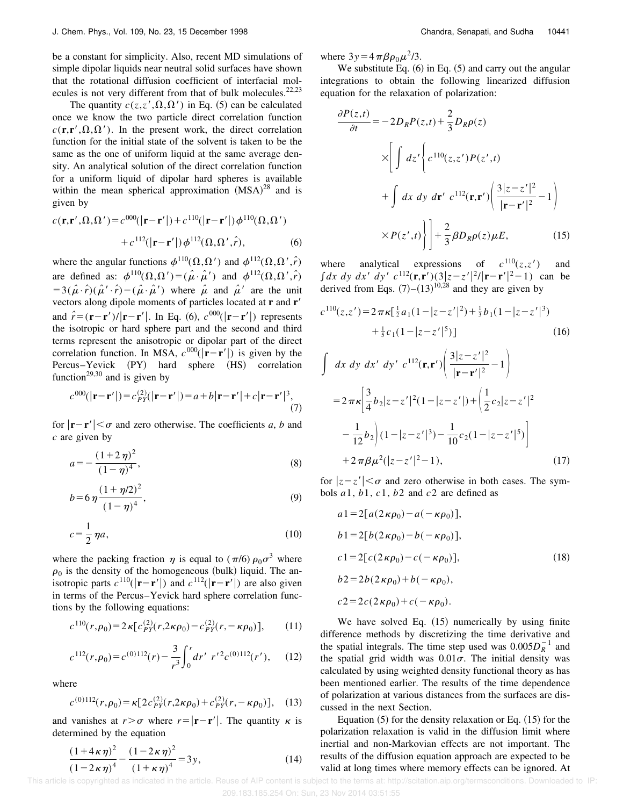be a constant for simplicity. Also, recent MD simulations of simple dipolar liquids near neutral solid surfaces have shown that the rotational diffusion coefficient of interfacial molecules is not very different from that of bulk molecules. $22,23$ 

The quantity  $c(z, z', \Omega, \Omega')$  in Eq. (5) can be calculated once we know the two particle direct correlation function  $c(\mathbf{r}, \mathbf{r}', \Omega, \Omega')$ . In the present work, the direct correlation function for the initial state of the solvent is taken to be the same as the one of uniform liquid at the same average density. An analytical solution of the direct correlation function for a uniform liquid of dipolar hard spheres is available within the mean spherical approximation  $(MSA)^{28}$  and is given by

$$
c(\mathbf{r}, \mathbf{r}', \Omega, \Omega') = c^{000}(|\mathbf{r} - \mathbf{r}'|) + c^{110}(|\mathbf{r} - \mathbf{r}'|) \phi^{110}(\Omega, \Omega')
$$
  
+ 
$$
c^{112}(|\mathbf{r} - \mathbf{r}'|) \phi^{112}(\Omega, \Omega', \hat{r}),
$$
 (6)

where the angular functions  $\phi^{110}(\Omega,\Omega')$  and  $\phi^{112}(\Omega,\Omega',\hat{r})$ are defined as:  $\phi^{110}(\Omega,\Omega') = (\hat{\mu} \cdot \hat{\mu}')$  and  $\phi^{112}(\Omega,\Omega',\hat{r})$  $=3(\hat{\mu}\cdot\hat{r})(\hat{\mu}'\cdot\hat{r})-(\hat{\mu}\cdot\hat{\mu}')$  where  $\hat{\mu}$  and  $\hat{\mu}'$  are the unit vectors along dipole moments of particles located at **r** and **r**<sup> $6$ </sup> and  $\hat{r} = (\mathbf{r} - \mathbf{r}')/|\mathbf{r} - \mathbf{r}'|$ . In Eq. (6),  $c^{000}(|\mathbf{r} - \mathbf{r}'|)$  represents the isotropic or hard sphere part and the second and third terms represent the anisotropic or dipolar part of the direct correlation function. In MSA,  $c^{000}(|\mathbf{r}-\mathbf{r}'|)$  is given by the Percus–Yevick (PY) hard sphere (HS) correlation function<sup>29,30</sup> and is given by

$$
c^{000}(|\mathbf{r}-\mathbf{r}'|) = c_{PY}^{(2)}(|\mathbf{r}-\mathbf{r}'|) = a + b|\mathbf{r}-\mathbf{r}'| + c|\mathbf{r}-\mathbf{r}'|^3,
$$
  
(7)

for  $|\mathbf{r}-\mathbf{r}'| < \sigma$  and zero otherwise. The coefficients *a*, *b* and *c* are given by

$$
a = -\frac{(1+2\,\eta)^2}{(1-\eta)^4},\tag{8}
$$

$$
b = 6 \eta \frac{(1 + \eta/2)^2}{(1 - \eta)^4},\tag{9}
$$

$$
c = \frac{1}{2} \eta a,\tag{10}
$$

where the packing fraction  $\eta$  is equal to ( $\pi/6$ )  $\rho_0 \sigma^3$  where  $\rho_0$  is the density of the homogeneous (bulk) liquid. The anisotropic parts  $c^{110}$ (|**r**-**r**'|) and  $c^{112}$ (|**r**-**r**'|) are also given in terms of the Percus–Yevick hard sphere correlation functions by the following equations:

$$
c^{110}(r,\rho_0) = 2\kappa [c_{PY}^{(2)}(r,2\kappa \rho_0) - c_{PY}^{(2)}(r,-\kappa \rho_0)], \qquad (11)
$$

$$
c^{112}(r,\rho_0) = c^{(0)112}(r) - \frac{3}{r^3} \int_0^r dr' \ r'^2 c^{(0)112}(r'), \quad (12)
$$

where

$$
c^{(0)112}(r,\rho_0) = \kappa [2c_{PY}^{(2)}(r,2\kappa \rho_0) + c_{PY}^{(2)}(r,-\kappa \rho_0)], \quad (13)
$$

and vanishes at  $r > \sigma$  where  $r = |\mathbf{r} - \mathbf{r}'|$ . The quantity  $\kappa$  is determined by the equation

$$
\frac{(1+4\kappa\eta)^2}{(1-2\kappa\eta)^4} - \frac{(1-2\kappa\eta)^2}{(1+\kappa\eta)^4} = 3y,\tag{14}
$$

where  $3y=4\pi\beta\rho_0\mu^2/3$ .

We substitute Eq.  $(6)$  in Eq.  $(5)$  and carry out the angular integrations to obtain the following linearized diffusion equation for the relaxation of polarization:

$$
\frac{\partial P(z,t)}{\partial t} = -2D_R P(z,t) + \frac{2}{3} D_R \rho(z)
$$
  
\n
$$
\times \left[ \int dz' \left\{ c^{110}(z,z')P(z',t) + \int dx \, dy \, dr' \, c^{112}(\mathbf{r}, \mathbf{r}') \left( \frac{3|z-z'|^2}{|\mathbf{r} - \mathbf{r}'|^2} - 1 \right) \right. \right.
$$
  
\n
$$
\times P(z',t) \left\} \left] + \frac{2}{3} \beta D_R \rho(z) \mu E, \qquad (15)
$$

where analytical expressions of  $c^{110}(z, z')$  and  $\int dx \, dy \, dx' \, dy' \, c^{112}(\mathbf{r}, \mathbf{r}')(3|z-z'|^2/|\mathbf{r}-\mathbf{r}'|^2-1)$  can be derived from Eqs.  $(7)-(13)^{10,28}$  and they are given by

$$
c^{110}(z, z') = 2 \pi \kappa \left[\frac{1}{2}a_1(1 - |z - z'|^2) + \frac{1}{3}b_1(1 - |z - z'|^3) + \frac{1}{5}c_1(1 - |z - z'|^5)\right]
$$
(16)

$$
\int dx dy dx' dy' c^{112}(\mathbf{r}, \mathbf{r}') \left( \frac{3|z - z'|^2}{|\mathbf{r} - \mathbf{r}'|^2} - 1 \right)
$$
  
=  $2 \pi \kappa \left[ \frac{3}{4} b_2 |z - z'|^2 (1 - |z - z'|) + \left( \frac{1}{2} c_2 |z - z'|^2 - \frac{1}{12} b_2 \right) (1 - |z - z'|^3) - \frac{1}{10} c_2 (1 - |z - z'|^5) \right]$   
+  $2 \pi \beta \mu^2 (|z - z'|^2 - 1),$  (17)

for  $|z-z'| < \sigma$  and zero otherwise in both cases. The symbols *a*1, *b*1, *c*1, *b*2 and *c*2 are defined as

$$
a1 = 2[a(2\kappa \rho_0) - a(-\kappa \rho_0)],
$$
  
\n
$$
b1 = 2[b(2\kappa \rho_0) - b(-\kappa \rho_0)],
$$
  
\n
$$
c1 = 2[c(2\kappa \rho_0) - c(-\kappa \rho_0)],
$$
  
\n
$$
b2 = 2b(2\kappa \rho_0) + b(-\kappa \rho_0),
$$
  
\n
$$
c2 = 2c(2\kappa \rho_0) + c(-\kappa \rho_0).
$$
\n(18)

We have solved Eq.  $(15)$  numerically by using finite difference methods by discretizing the time derivative and the spatial integrals. The time step used was  $0.005D_R^{-1}$  and the spatial grid width was  $0.01\sigma$ . The initial density was calculated by using weighted density functional theory as has been mentioned earlier. The results of the time dependence of polarization at various distances from the surfaces are discussed in the next Section.

Equation  $(5)$  for the density relaxation or Eq.  $(15)$  for the polarization relaxation is valid in the diffusion limit where inertial and non-Markovian effects are not important. The results of the diffusion equation approach are expected to be valid at long times where memory effects can be ignored. At

 This article is copyrighted as indicated in the article. Reuse of AIP content is subject to the terms at: http://scitation.aip.org/termsconditions. Downloaded to IP: 209.183.185.254 On: Sun, 23 Nov 2014 03:51:55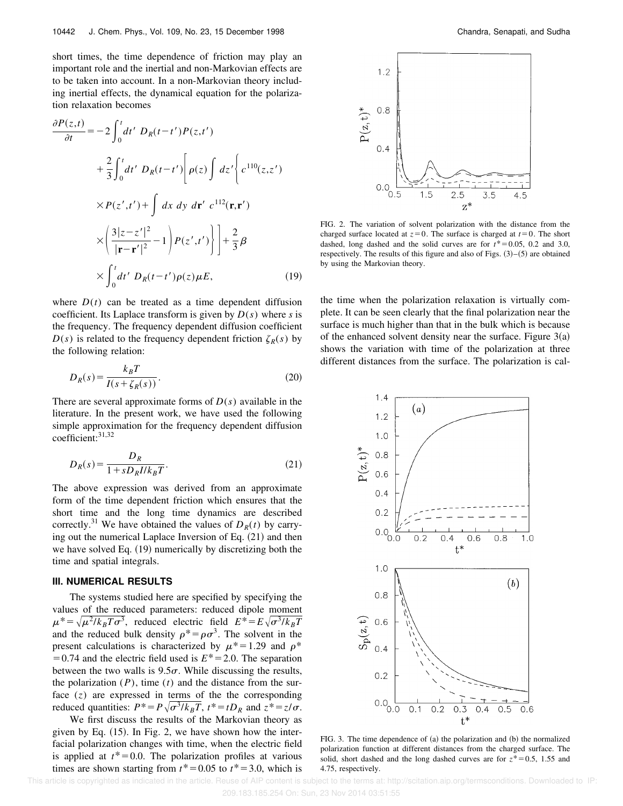short times, the time dependence of friction may play an important role and the inertial and non-Markovian effects are to be taken into account. In a non-Markovian theory including inertial effects, the dynamical equation for the polarization relaxation becomes

$$
\frac{\partial P(z,t)}{\partial t} = -2 \int_0^t dt' D_R(t-t') P(z,t')
$$
  
+ 
$$
\frac{2}{3} \int_0^t dt' D_R(t-t') \left[ \rho(z) \int dz' \left\{ c^{110}(z,z') \right\}
$$
  

$$
\times P(z',t') + \int dx dy dr' c^{112}(\mathbf{r},\mathbf{r'})
$$
  

$$
\times \left( \frac{3|z-z'|^2}{|\mathbf{r}-\mathbf{r'}|^2} - 1 \right) P(z',t') \right) + \frac{2}{3} \beta
$$
  

$$
\times \int_0^t dt' D_R(t-t') \rho(z) \mu E,
$$
 (19)

where  $D(t)$  can be treated as a time dependent diffusion coefficient. Its Laplace transform is given by  $D(s)$  where *s* is the frequency. The frequency dependent diffusion coefficient  $D(s)$  is related to the frequency dependent friction  $\zeta_R(s)$  by the following relation:

$$
D_R(s) = \frac{k_B T}{I(s + \zeta_R(s))}.
$$
\n(20)

There are several approximate forms of  $D(s)$  available in the literature. In the present work, we have used the following simple approximation for the frequency dependent diffusion coefficient:31,32

$$
D_R(s) = \frac{D_R}{1 + s D_R I / k_B T}.\tag{21}
$$

The above expression was derived from an approximate form of the time dependent friction which ensures that the short time and the long time dynamics are described correctly.<sup>31</sup> We have obtained the values of  $D_R(t)$  by carrying out the numerical Laplace Inversion of Eq.  $(21)$  and then we have solved Eq.  $(19)$  numerically by discretizing both the time and spatial integrals.

#### **III. NUMERICAL RESULTS**

The systems studied here are specified by specifying the values of the reduced parameters: reduced dipole moment  $\mu^* = \sqrt{\mu^2/k_B T \sigma^3}$ , reduced electric field  $E^* = E \sqrt{\sigma^3/k_B T}$ and the reduced bulk density  $\rho^* = \rho \sigma^3$ . The solvent in the present calculations is characterized by  $\mu^*$  = 1.29 and  $\rho^*$  $=0.74$  and the electric field used is  $E^* = 2.0$ . The separation between the two walls is  $9.5\sigma$ . While discussing the results, the polarization  $(P)$ , time  $(t)$  and the distance from the surface  $(z)$  are expressed in terms of the the corresponding reduced quantities:  $P^* = P\sqrt{\sigma^3/k_B T}$ ,  $t^* = tD_R$  and  $z^* = z/\sigma$ .

We first discuss the results of the Markovian theory as given by Eq.  $(15)$ . In Fig. 2, we have shown how the interfacial polarization changes with time, when the electric field is applied at  $t^*=0.0$ . The polarization profiles at various times are shown starting from  $t^*$  = 0.05 to  $t^*$  = 3.0, which is



FIG. 2. The variation of solvent polarization with the distance from the charged surface located at  $z=0$ . The surface is charged at  $t=0$ . The short dashed, long dashed and the solid curves are for  $t^*$  = 0.05, 0.2 and 3.0, respectively. The results of this figure and also of Figs.  $(3)$ – $(5)$  are obtained by using the Markovian theory.

the time when the polarization relaxation is virtually complete. It can be seen clearly that the final polarization near the surface is much higher than that in the bulk which is because of the enhanced solvent density near the surface. Figure  $3(a)$ shows the variation with time of the polarization at three different distances from the surface. The polarization is cal-



FIG. 3. The time dependence of  $(a)$  the polarization and  $(b)$  the normalized polarization function at different distances from the charged surface. The solid, short dashed and the long dashed curves are for  $z^* = 0.5$ , 1.55 and 4.75, respectively.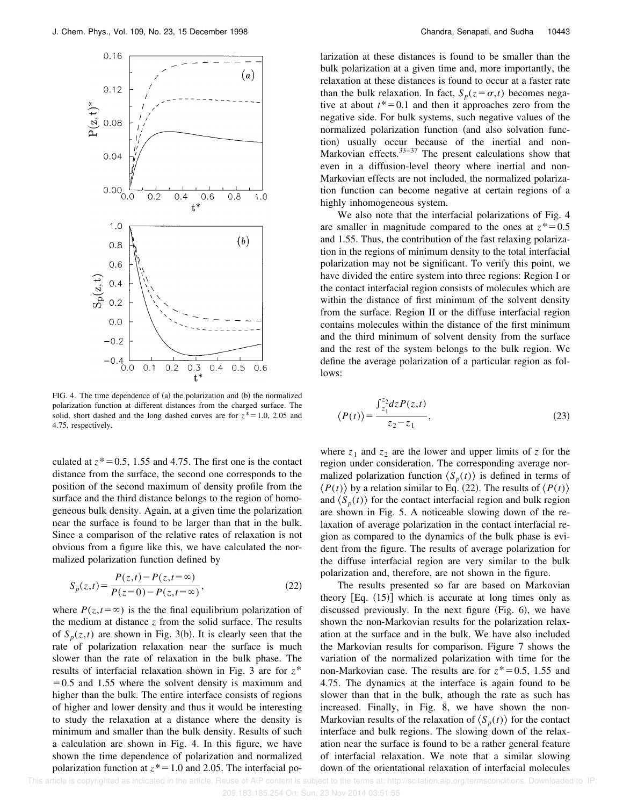

FIG. 4. The time dependence of  $(a)$  the polarization and  $(b)$  the normalized polarization function at different distances from the charged surface. The solid, short dashed and the long dashed curves are for  $z^* = 1.0$ , 2.05 and 4.75, respectively.

culated at  $z^*$  = 0.5, 1.55 and 4.75. The first one is the contact distance from the surface, the second one corresponds to the position of the second maximum of density profile from the surface and the third distance belongs to the region of homogeneous bulk density. Again, at a given time the polarization near the surface is found to be larger than that in the bulk. Since a comparison of the relative rates of relaxation is not obvious from a figure like this, we have calculated the normalized polarization function defined by

$$
S_p(z,t) = \frac{P(z,t) - P(z,t = \infty)}{P(z=0) - P(z,t = \infty)},
$$
\n(22)

where  $P(z,t=\infty)$  is the the final equilibrium polarization of the medium at distance *z* from the solid surface. The results of  $S_p(z,t)$  are shown in Fig. 3(b). It is clearly seen that the rate of polarization relaxation near the surface is much slower than the rate of relaxation in the bulk phase. The results of interfacial relaxation shown in Fig. 3 are for *z*\*  $=0.5$  and 1.55 where the solvent density is maximum and higher than the bulk. The entire interface consists of regions of higher and lower density and thus it would be interesting to study the relaxation at a distance where the density is minimum and smaller than the bulk density. Results of such a calculation are shown in Fig. 4. In this figure, we have shown the time dependence of polarization and normalized polarization function at  $z^* = 1.0$  and 2.05. The interfacial po-

larization at these distances is found to be smaller than the bulk polarization at a given time and, more importantly, the relaxation at these distances is found to occur at a faster rate than the bulk relaxation. In fact,  $S_p(z = \sigma, t)$  becomes negative at about  $t^*=0.1$  and then it approaches zero from the negative side. For bulk systems, such negative values of the normalized polarization function (and also solvation function) usually occur because of the inertial and non-Markovian effects. $33-37$  The present calculations show that even in a diffusion-level theory where inertial and non-Markovian effects are not included, the normalized polarization function can become negative at certain regions of a highly inhomogeneous system.

We also note that the interfacial polarizations of Fig. 4 are smaller in magnitude compared to the ones at  $z^* = 0.5$ and 1.55. Thus, the contribution of the fast relaxing polarization in the regions of minimum density to the total interfacial polarization may not be significant. To verify this point, we have divided the entire system into three regions: Region I or the contact interfacial region consists of molecules which are within the distance of first minimum of the solvent density from the surface. Region II or the diffuse interfacial region contains molecules within the distance of the first minimum and the third minimum of solvent density from the surface and the rest of the system belongs to the bulk region. We define the average polarization of a particular region as follows:

$$
\langle P(t) \rangle = \frac{\int_{z_1}^{z_2} dz P(z, t)}{z_2 - z_1},\tag{23}
$$

where  $z_1$  and  $z_2$  are the lower and upper limits of  $z$  for the region under consideration. The corresponding average normalized polarization function  $\langle S_p(t) \rangle$  is defined in terms of  $\langle P(t) \rangle$  by a relation similar to Eq. (22). The results of  $\langle P(t) \rangle$ and  $\langle S_p(t) \rangle$  for the contact interfacial region and bulk region are shown in Fig. 5. A noticeable slowing down of the relaxation of average polarization in the contact interfacial region as compared to the dynamics of the bulk phase is evident from the figure. The results of average polarization for the diffuse interfacial region are very similar to the bulk polarization and, therefore, are not shown in the figure.

The results presented so far are based on Markovian theory  $[Eq. (15)]$  which is accurate at long times only as discussed previously. In the next figure  $(Fig. 6)$ , we have shown the non-Markovian results for the polarization relaxation at the surface and in the bulk. We have also included the Markovian results for comparison. Figure 7 shows the variation of the normalized polarization with time for the non-Markovian case. The results are for  $z^* = 0.5$ , 1.55 and 4.75. The dynamics at the interface is again found to be slower than that in the bulk, athough the rate as such has increased. Finally, in Fig. 8, we have shown the non-Markovian results of the relaxation of  $\langle S_p(t) \rangle$  for the contact interface and bulk regions. The slowing down of the relaxation near the surface is found to be a rather general feature of interfacial relaxation. We note that a similar slowing down of the orientational relaxation of interfacial molecules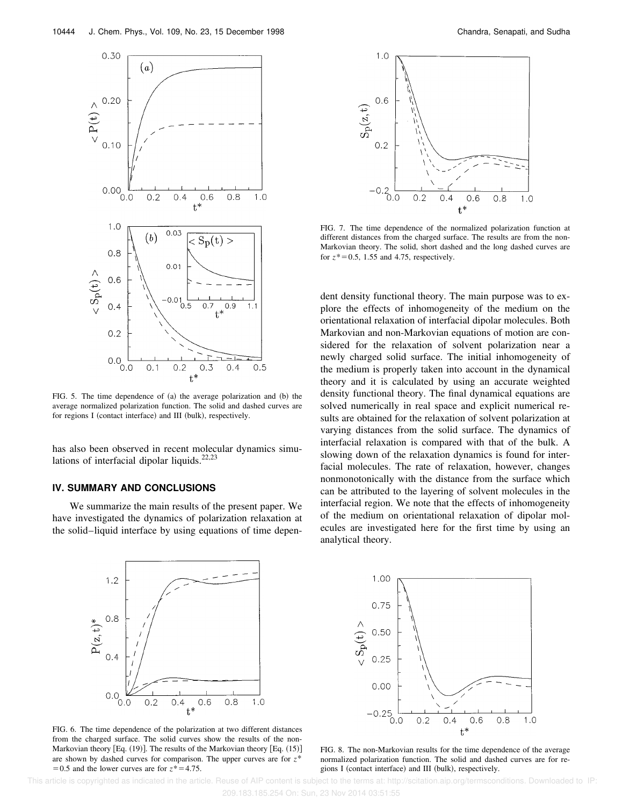

FIG. 5. The time dependence of  $(a)$  the average polarization and  $(b)$  the average normalized polarization function. The solid and dashed curves are for regions I (contact interface) and III (bulk), respectively.

has also been observed in recent molecular dynamics simulations of interfacial dipolar liquids.<sup>22,23</sup>

### **IV. SUMMARY AND CONCLUSIONS**

We summarize the main results of the present paper. We have investigated the dynamics of polarization relaxation at the solid–liquid interface by using equations of time depen-



FIG. 7. The time dependence of the normalized polarization function at different distances from the charged surface. The results are from the non-Markovian theory. The solid, short dashed and the long dashed curves are for  $z^*$  = 0.5, 1.55 and 4.75, respectively.

dent density functional theory. The main purpose was to explore the effects of inhomogeneity of the medium on the orientational relaxation of interfacial dipolar molecules. Both Markovian and non-Markovian equations of motion are considered for the relaxation of solvent polarization near a newly charged solid surface. The initial inhomogeneity of the medium is properly taken into account in the dynamical theory and it is calculated by using an accurate weighted density functional theory. The final dynamical equations are solved numerically in real space and explicit numerical results are obtained for the relaxation of solvent polarization at varying distances from the solid surface. The dynamics of interfacial relaxation is compared with that of the bulk. A slowing down of the relaxation dynamics is found for interfacial molecules. The rate of relaxation, however, changes nonmonotonically with the distance from the surface which can be attributed to the layering of solvent molecules in the interfacial region. We note that the effects of inhomogeneity of the medium on orientational relaxation of dipolar molecules are investigated here for the first time by using an analytical theory.



FIG. 6. The time dependence of the polarization at two different distances from the charged surface. The solid curves show the results of the non-Markovian theory  $[Eq. (19)]$ . The results of the Markovian theory  $[Eq. (15)]$ are shown by dashed curves for comparison. The upper curves are for *z*\*  $=0.5$  and the lower curves are for  $z^* = 4.75$ .



FIG. 8. The non-Markovian results for the time dependence of the average normalized polarization function. The solid and dashed curves are for regions I (contact interface) and III (bulk), respectively.

 This article is copyrighted as indicated in the article. Reuse of AIP content is subject to the terms at: http://scitation.aip.org/termsconditions. Downloaded to IP: 209.183.185.254 On: Sun, 23 Nov 2014 03:51:55